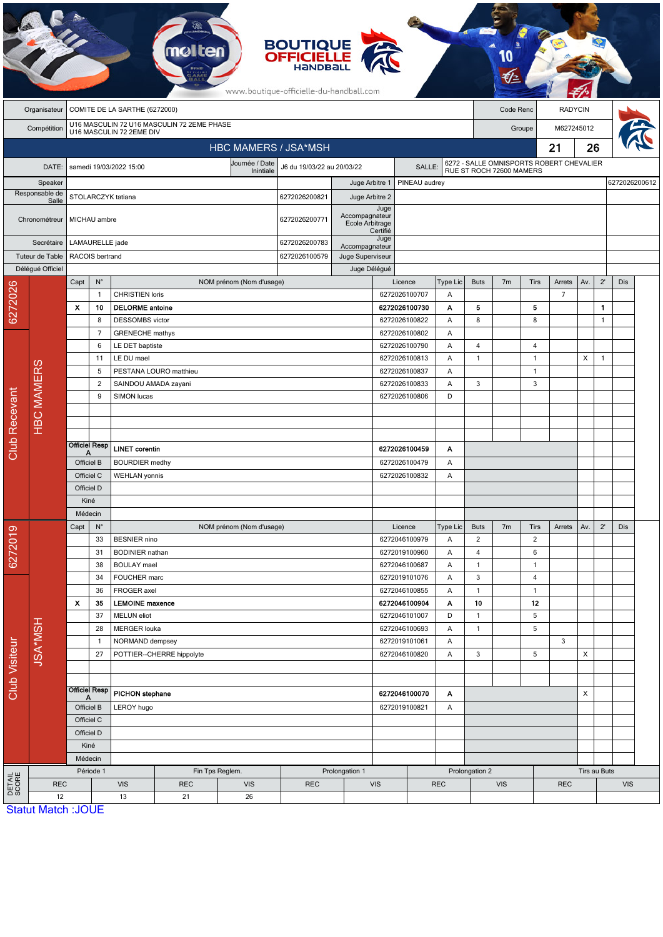|                           |                   |                                                                        |                                                    |                                                                           |                           |                             | <b>BOUTIQUE</b><br><b>OFFICIELLE</b><br>HANDBALL<br>www.boutique-officielle-du-handball.com |                                               |                                 |                                |                               |                                                                      |                |                |                          |                |              |               |  |  |
|---------------------------|-------------------|------------------------------------------------------------------------|----------------------------------------------------|---------------------------------------------------------------------------|---------------------------|-----------------------------|---------------------------------------------------------------------------------------------|-----------------------------------------------|---------------------------------|--------------------------------|-------------------------------|----------------------------------------------------------------------|----------------|----------------|--------------------------|----------------|--------------|---------------|--|--|
|                           | Organisateur      | COMITE DE LA SARTHE (6272000)                                          |                                                    |                                                                           |                           |                             |                                                                                             |                                               |                                 |                                | Code Renc                     |                                                                      |                | <b>RADYCIN</b> |                          |                |              |               |  |  |
|                           | Compétition       | U16 MASCULIN 72 U16 MASCULIN 72 2EME PHASE<br>U16 MASCULIN 72 2EME DIV |                                                    |                                                                           |                           |                             |                                                                                             |                                               |                                 | M627245012<br>Groupe           |                               |                                                                      |                |                |                          |                |              |               |  |  |
|                           |                   |                                                                        |                                                    |                                                                           |                           | <b>HBC MAMERS / JSA*MSH</b> |                                                                                             |                                               |                                 |                                |                               |                                                                      |                |                | 21                       | 26             |              |               |  |  |
|                           |                   |                                                                        |                                                    |                                                                           |                           | Journée / Date              |                                                                                             |                                               |                                 |                                |                               |                                                                      |                |                |                          |                |              |               |  |  |
|                           | DATE:             |                                                                        |                                                    | samedi 19/03/2022 15:00                                                   |                           | Inintiale                   | J6 du 19/03/22 au 20/03/22<br>SALLE:                                                        |                                               |                                 |                                |                               | 6272 - SALLE OMNISPORTS ROBERT CHEVALIER<br>RUE ST ROCH 72600 MAMERS |                |                |                          |                |              |               |  |  |
| Speaker<br>Responsable de |                   |                                                                        |                                                    |                                                                           |                           |                             |                                                                                             |                                               | PINEAU audrey<br>Juge Arbitre 1 |                                |                               |                                                                      |                |                |                          |                |              | 6272026200612 |  |  |
| Salle                     |                   | STOLARCZYK tatiana                                                     |                                                    |                                                                           |                           |                             | 6272026200821                                                                               |                                               | Juge Arbitre 2<br>Juge          |                                |                               |                                                                      |                |                |                          |                |              |               |  |  |
| Chronométreur             |                   |                                                                        | MICHAU ambre                                       |                                                                           |                           | 6272026200771               |                                                                                             | Accompagnateur<br>Ecole Arbitrage<br>Certifié |                                 |                                |                               |                                                                      |                |                |                          |                |              |               |  |  |
|                           | Secrétaire        |                                                                        | LAMAURELLE jade                                    |                                                                           |                           | 6272026200783               | Accompagnateur                                                                              | Juge                                          |                                 |                                |                               |                                                                      |                |                |                          |                |              |               |  |  |
| Tuteur de Table           |                   |                                                                        | RACOIS bertrand                                    |                                                                           |                           | 6272026100579               | Juge Superviseur                                                                            |                                               |                                 |                                |                               |                                                                      |                |                |                          |                |              |               |  |  |
|                           | Délégué Officiel  |                                                                        |                                                    |                                                                           |                           |                             |                                                                                             | Juge Délégué                                  |                                 |                                |                               |                                                                      |                |                |                          |                |              |               |  |  |
| 6272026                   |                   | Capt                                                                   | $N^{\circ}$<br>$\mathbf{1}$                        | <b>CHRISTIEN loris</b>                                                    |                           | NOM prénom (Nom d'usage)    |                                                                                             |                                               |                                 | Licence<br>6272026100707       | Type Lic<br>Α                 | <b>Buts</b>                                                          | 7 <sub>m</sub> | Tirs           | Arrets<br>$\overline{7}$ | Av.            | $2^{\prime}$ | Dis           |  |  |
|                           |                   | X                                                                      | 10                                                 | <b>DELORME</b> antoine                                                    |                           |                             |                                                                                             |                                               |                                 | 6272026100730                  | Α                             | 5                                                                    |                | 5              |                          |                | $\mathbf{1}$ |               |  |  |
|                           |                   |                                                                        | 8                                                  | <b>DESSOMBS</b> victor                                                    |                           |                             |                                                                                             |                                               |                                 | 6272026100822                  | Α                             | 8                                                                    |                | 8              |                          |                | $\mathbf{1}$ |               |  |  |
|                           |                   |                                                                        | $\overline{7}$                                     | <b>GRENECHE</b> mathys                                                    |                           |                             |                                                                                             |                                               |                                 | 6272026100802                  | Α                             |                                                                      |                |                |                          |                |              |               |  |  |
|                           |                   |                                                                        | 6                                                  | LE DET baptiste                                                           |                           |                             |                                                                                             |                                               |                                 | 6272026100790                  | Α                             | 4                                                                    |                | 4              |                          |                |              |               |  |  |
|                           |                   | 11                                                                     |                                                    | LE DU mael                                                                |                           |                             |                                                                                             |                                               |                                 | 6272026100813                  | Α                             | $\mathbf{1}$                                                         |                | $\overline{1}$ |                          | X              | $\mathbf{1}$ |               |  |  |
|                           |                   |                                                                        | 5                                                  |                                                                           | PESTANA LOURO matthieu    |                             |                                                                                             |                                               |                                 | 6272026100837                  | Α                             |                                                                      |                | $\overline{1}$ |                          |                |              |               |  |  |
|                           | <b>HBC MAMERS</b> |                                                                        | $\overline{2}$                                     |                                                                           | SAINDOU AMADA zayani      |                             |                                                                                             |                                               |                                 | 6272026100833                  | Α                             | 3                                                                    |                | 3              |                          |                |              |               |  |  |
|                           |                   |                                                                        | 9                                                  | SIMON lucas                                                               |                           |                             |                                                                                             |                                               |                                 | 6272026100806                  | D                             |                                                                      |                |                |                          |                |              |               |  |  |
|                           |                   |                                                                        |                                                    |                                                                           |                           |                             |                                                                                             |                                               |                                 |                                |                               |                                                                      |                |                |                          |                |              |               |  |  |
|                           |                   |                                                                        |                                                    |                                                                           |                           |                             |                                                                                             |                                               |                                 |                                |                               |                                                                      |                |                |                          |                |              |               |  |  |
| <b>Club Recevant</b>      |                   |                                                                        | <b>Officiel Resp</b><br><b>LINET</b> corentin<br>Α |                                                                           |                           |                             |                                                                                             |                                               |                                 | 6272026100459                  | Α                             |                                                                      |                |                |                          |                |              |               |  |  |
|                           |                   | Officiel B                                                             |                                                    | <b>BOURDIER</b> medhy                                                     |                           |                             |                                                                                             |                                               |                                 | 6272026100479                  | Α                             |                                                                      |                |                |                          |                |              |               |  |  |
|                           |                   | Officiel C                                                             |                                                    | <b>WEHLAN</b> yonnis                                                      |                           |                             |                                                                                             |                                               |                                 | 6272026100832                  | Α                             |                                                                      |                |                |                          |                |              |               |  |  |
|                           |                   | Officiel D                                                             |                                                    |                                                                           |                           |                             |                                                                                             |                                               |                                 |                                |                               |                                                                      |                |                |                          |                |              |               |  |  |
|                           |                   | Kiné<br>Médecin                                                        |                                                    |                                                                           |                           |                             |                                                                                             |                                               |                                 |                                |                               |                                                                      |                |                |                          |                |              |               |  |  |
| 6272019                   |                   | Capt<br>$N^{\circ}$                                                    |                                                    |                                                                           |                           |                             |                                                                                             |                                               | Licence                         | Type Lic                       | <b>Buts</b><br>7 <sub>m</sub> |                                                                      | Tirs           | Arrets         | Av.                      | $2^{\prime}$   | Dis          |               |  |  |
|                           |                   |                                                                        | 33                                                 | NOM prénom (Nom d'usage)<br><b>BESNIER</b> nino<br><b>BODINIER</b> nathan |                           |                             |                                                                                             |                                               |                                 | 6272046100979                  | Α                             | $\overline{2}$                                                       |                | $\overline{2}$ |                          |                |              |               |  |  |
|                           |                   |                                                                        | 31                                                 |                                                                           |                           |                             |                                                                                             |                                               | 6272019100960                   | Α                              | $\overline{\mathbf{4}}$       |                                                                      | 6              |                |                          |                |              |               |  |  |
|                           |                   | 38<br>34                                                               |                                                    | <b>BOULAY</b> mael                                                        |                           |                             |                                                                                             |                                               |                                 | 6272046100687                  | Α                             | $\mathbf{1}$                                                         |                | $\overline{1}$ |                          |                |              |               |  |  |
|                           |                   |                                                                        |                                                    | FOUCHER marc                                                              |                           |                             |                                                                                             |                                               |                                 | 6272019101076                  | Α                             | $\mathbf{3}$                                                         |                | 4              |                          |                |              |               |  |  |
|                           |                   |                                                                        | 36                                                 | FROGER axel                                                               |                           |                             |                                                                                             |                                               |                                 | 6272046100855                  | Α                             | 1                                                                    |                | $\mathbf{1}$   |                          |                |              |               |  |  |
|                           |                   | $\boldsymbol{\mathsf{x}}$                                              | 35<br>37                                           | <b>LEMOINE</b> maxence<br><b>MELUN</b> eliot                              |                           |                             |                                                                                             |                                               |                                 | 6272046100904<br>6272046101007 | Α<br>D                        | 10<br>1                                                              |                | 12<br>$\,$ 5   |                          |                |              |               |  |  |
| <b>Club Visiteur</b>      | JSA*MSH           |                                                                        | 28                                                 | <b>MERGER louka</b>                                                       |                           |                             |                                                                                             |                                               |                                 | 6272046100693                  | A                             | $\mathbf{1}$                                                         |                | 5              |                          |                |              |               |  |  |
|                           |                   |                                                                        | $\mathbf{1}$                                       | NORMAND dempsey                                                           |                           |                             |                                                                                             |                                               |                                 | 6272019101061                  | A                             |                                                                      |                |                | 3                        |                |              |               |  |  |
|                           |                   |                                                                        | 27                                                 |                                                                           | POTTIER--CHERRE hippolyte |                             |                                                                                             |                                               |                                 | 6272046100820                  | Α                             | $\mathbf{3}$                                                         |                | 5              |                          | $\pmb{\times}$ |              |               |  |  |
|                           |                   |                                                                        |                                                    |                                                                           |                           |                             |                                                                                             |                                               |                                 |                                |                               |                                                                      |                |                |                          |                |              |               |  |  |
|                           |                   | <b>Officiel Resp</b>                                                   |                                                    |                                                                           |                           |                             |                                                                                             |                                               |                                 |                                |                               |                                                                      |                |                |                          |                |              |               |  |  |
|                           |                   | Officiel B                                                             |                                                    | PICHON stephane<br>LEROY hugo                                             |                           |                             | 6272046100070<br>A<br>6272019100821<br>A                                                    |                                               |                                 |                                |                               |                                                                      |                | X              |                          |                |              |               |  |  |
|                           |                   | Officiel C                                                             |                                                    |                                                                           |                           |                             |                                                                                             |                                               |                                 |                                |                               |                                                                      |                |                |                          |                |              |               |  |  |
|                           |                   | Officiel D                                                             |                                                    |                                                                           |                           |                             |                                                                                             |                                               |                                 |                                |                               |                                                                      |                |                |                          |                |              |               |  |  |
|                           |                   | Kiné                                                                   |                                                    |                                                                           |                           |                             |                                                                                             |                                               |                                 |                                |                               |                                                                      |                |                |                          |                |              |               |  |  |
|                           |                   | Médecin                                                                |                                                    |                                                                           |                           |                             |                                                                                             |                                               |                                 |                                |                               |                                                                      |                |                |                          |                |              |               |  |  |
|                           |                   | Période 1                                                              |                                                    |                                                                           |                           | Fin Tps Reglem.             |                                                                                             | Prolongation 1                                |                                 |                                |                               | Prolongation 2                                                       |                |                |                          | Tirs au Buts   |              |               |  |  |
| <b>DETAIL</b><br>SCORE    | 12                | <b>REC</b>                                                             |                                                    | <b>VIS</b><br>13                                                          | <b>REC</b><br>21          | <b>VIS</b><br>26            | <b>REC</b>                                                                                  |                                               | VIS                             | <b>REC</b>                     |                               | <b>VIS</b>                                                           |                |                | <b>REC</b>               |                |              | <b>VIS</b>    |  |  |
|                           |                   | <b>Statut Match: JOUE</b>                                              |                                                    |                                                                           |                           |                             |                                                                                             |                                               |                                 |                                |                               |                                                                      |                |                |                          |                |              |               |  |  |